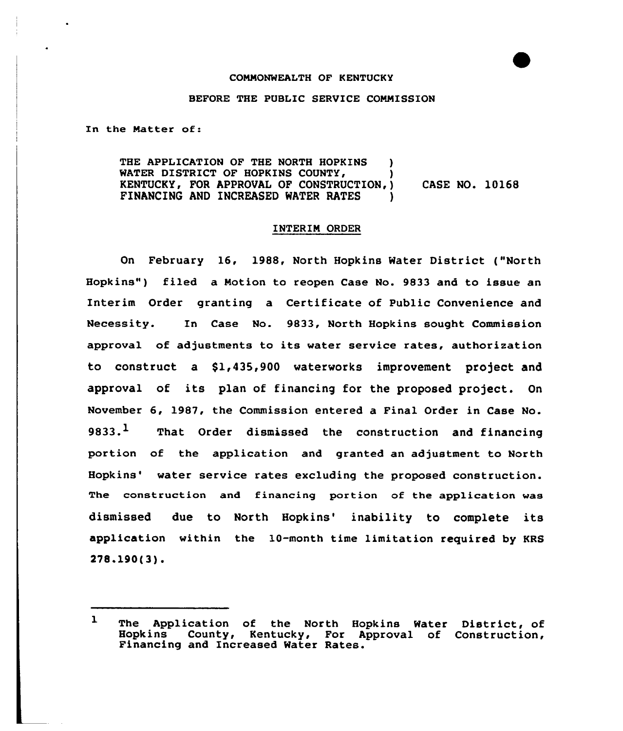### COMMONWEALTH OF KENTUCKY

## BEFORE THE PUBLIC SERVICE COMMISSION

In the Matter of:

THE APPLICATION OF THE NORTH HOPKINS ) WATER DISTRICT OF HOPKINS COUNTY, KENTUCKY, FOR APPROVAL OF CONSTRUCTION,) CASE NO. 10168 FINANCING AND INCREASED WATER RATES )

### INTERIM ORDER

On February 16, 1988, North Hopkins Water District ("North Hopkins" ) filed a Motion to reopen Case No. 9833 and to issue an Interim Order granting a Certificate of Public Convenience and Necessity. In Case No. 9833, North Hopkins sought Commission approval of adjustments to its water service rates, authorization to construct a \$1,435,900 waterworks improvement project and approval of its plan of financing for the proposed project. On November 6, 1987, the Commission entered a Final Order in Case No. 9833. $<sup>1</sup>$  That Order dismissed the construction and financing</sup> portion of the application and granted an adjustment to North Hopkins' water service rates excluding the proposed construction. The construction and financing portion of the application was dismissed due to North Hopkins' inability to complete its application within the 10-month time limitation required by KRS  $278.190(3)$ .

 $\mathbf{1}$ The Application of the North Hopkins Water District, of Hopkins County, Kentucky, For Approval of Construction, Financing and Increased Water Rates.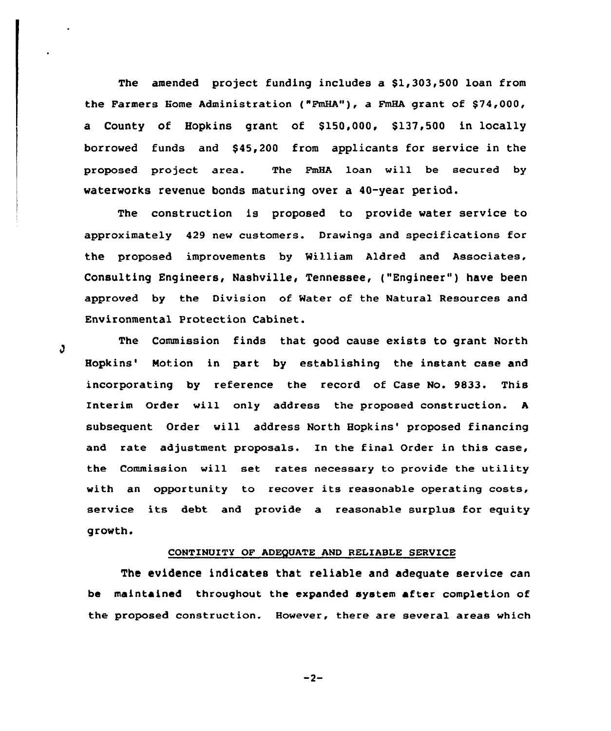The amended project funding includes a \$1,303,500 loan from the Farmers Home Administration ("FmHA"), a FmHA grant of \$74,000, a County of Hopkins grant of \$150,000, \$137,500 in locally borrowed funds and \$ 45,200 from applicants for service in the proposed project area. The FmHA loan will be secured by waterworks revenue bonds maturing over a 40-year period.

The construction is proposed to provide water service to approximately 429 new customers. Drawings and specifications for the proposed improvements by William Aldred and Associates, Consulting Engineers, Nashville, Tennessee, ("Engineer") have been approved by the Division of Mater of the Natural Resources and Environmental Protection Cabinet.

The Commission finds that good cause exists to grant North Hopkins' Motion in part by establishing the instant case and incorporating by reference the record of Case No. 9833. This Interim Order will only address the proposed construction. <sup>A</sup> subsequent Order will address North Hopkins' proposed financing and rate adjustment proposals. In the final Order in this case, the Commission will set rates necessary to provide the utility with an opportunity to recover its reasonable operating costs, service its debt and provide a reasonable surplus for equity growth.

# CONTINUITY OF ADEQUATE AND RELIABLE SERVICE

The evidence indicates that reliable and adequate service can be maintained throughout the expanded system after completion of the proposed construction. However, there are several areas which

J.

$$
-2-
$$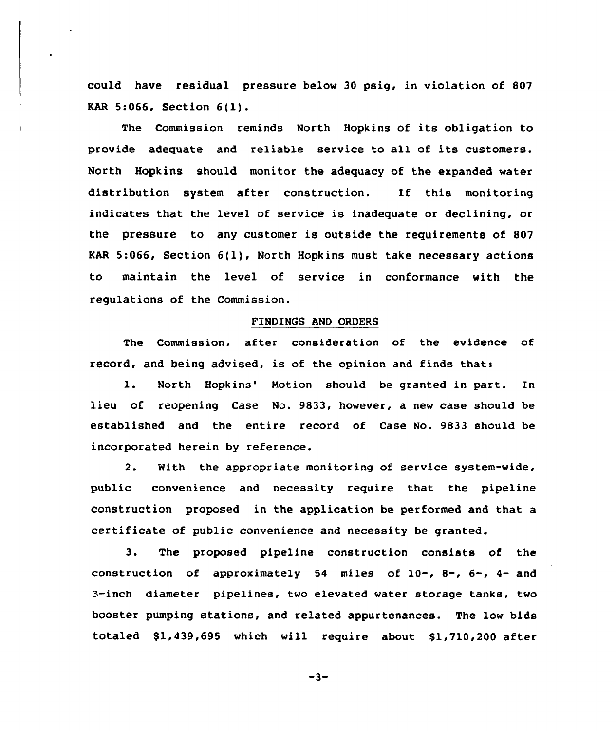could have residual pressure below 30 psig, in violation of 807 KAR 5:066, Section 6(1).

The Commission reminds North Hopkins of its obligation to provide adequate and reliable service to all of its customers. North Hopkins should monitor the adequacy of the expanded water distribution system after construction. If this monitoring indicates that the level of service is inadequate or declining, or the pressure to any customer is outside the requirements of 807 KAR 5:066, Section 6(1), North Hopkins must take necessary actions to maintain the level of service in conformance with the regulations of the Commission.

## FINDINGS AND ORDERS

The Commission, after consideration of the evidence of record, and being advised, is of the opinion and finds that:

1. North Hopkins' Motion should be granted in part. In lieu of reopening Case No. 9833, however, a new case should be established and the entire record of Case No. 9833 should be incorporated herein by reference.

2. With the appropriate monitoring of service system-wide, public convenience and necessity require that the pipeline construction proposed in the application be performed and that a certificate of public convenience and necessity be granted.

3. The proposed pipeline construction consists of the construction of approximately 54 miles of  $10-$ ,  $8-$ ,  $6-$ ,  $4-$  and 3-inch diameter pipelines, two elevated water storage tanks, two booster pumping stations, and related appurtenances. The low bids totaled \$1,439,695 which will require about \$1,710,200 after

$$
-3-
$$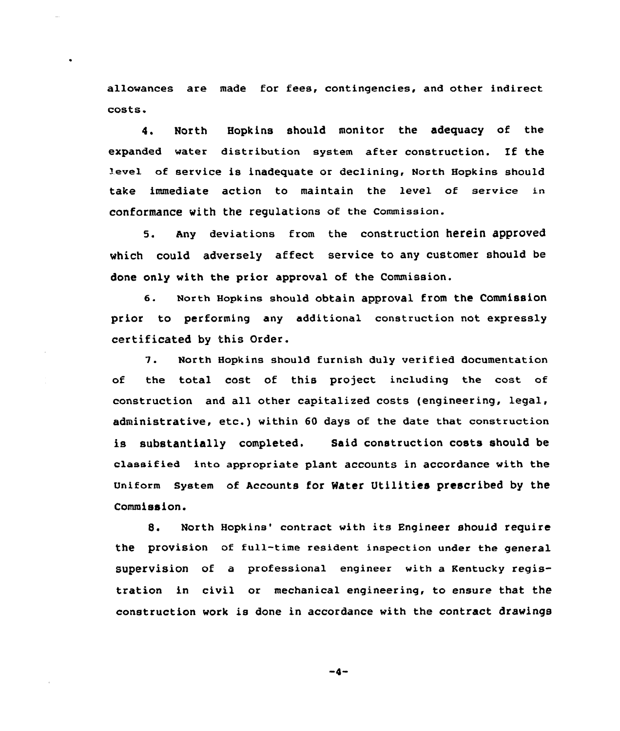allowances are made for fees, contingencies, and other indirect costs.

4. North Hopkins should monitor the adequacy of the expanded water distribution system after construction. If the 'evel of service is inadequate or declining, North Hopkins should take immediate action to maintain the level of service in conformance with the regulations of the commission.

5. Any deviations from the construction herein approved which could adversely affect service to any customer should be done only with the prior approval of the Commission.

6. North Hopkins should obtain approval from the Commission prior to performing any additional construction not expressly certificated by this Order.

7. North Hopkins should furnish duly verified documentation of the total cost of this project including the cost of construction and all other capitalized costs {engineering, legal, administrative, etc.) within <sup>60</sup> days of the date that construction is substantially completed. Said construction costs should be classified inta appropriate plant accounts in accordance with the Uniform System of Accounts for Water Utilities prescribed by the Commission.

8. North Hopkins' contract with its Engineer should require the provision of full-time resident inspection under the general supervision of a professional engineer with a Kentucky registration in civil or mechanical engineering, to ensure that the construction work is done in accordance with the contract drawings

 $-4-$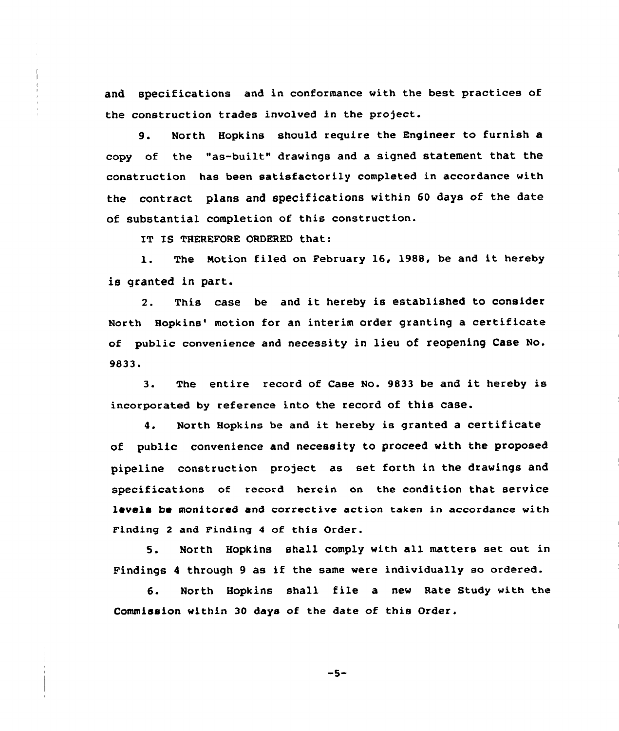and specifications and in conformance with the best practices of the construction trades involved in the project.

9. North Hopkins should require the Engineer to furnish a copy of the "as-built" drawings and a signed statement that the construction has been satisfactorily completed in accordance with the contract plans and specifications within 60 days of the date of substantial completion of this construction.

IT IS THEREFORE ORDERED that:

l. The Notion filed on February 16, 1988, be and it hereby is granted in part.

2. This case be and it hereby is established to consider North Hopkins' motion for an interim order granting a certificate of public convenience and necessity in lieu of reopening Case No. 9833.

3. The entire record of Case No. <sup>9833</sup> be and it hereby is incorporated by reference into the record of this case.

4. North Hopkins be and it hereby is granted <sup>a</sup> certificate of public convenience and necessity to proceed with the proposed pipeline construction project as set forth in the drawings and specifications of record herein on the condition that service levels be monitored and corrective action taken in accordance with Finding 2 and Finding 4 of this Order.

5. North Hopkins shall comply with all matters set out in Findings <sup>4</sup> through <sup>9</sup> as if the same were individually so ordered.

6. North Hopkins shall file <sup>a</sup> new Rate Study with the Commission within 30 days of the date of this Order.

 $-5-$